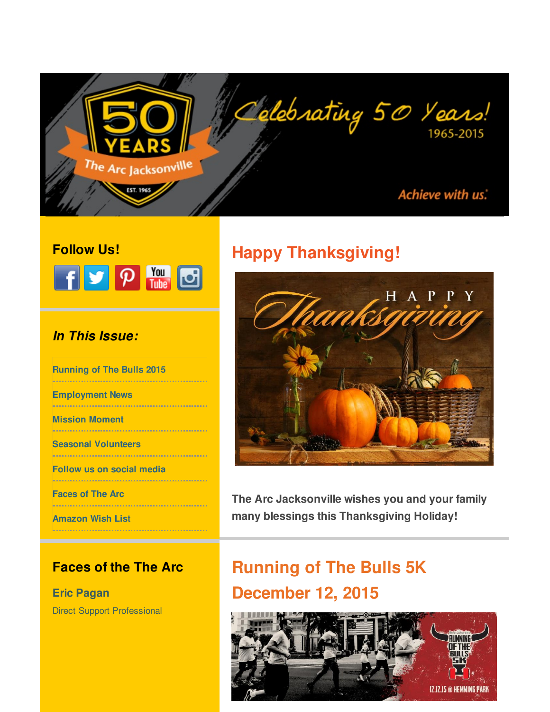<span id="page-0-0"></span>

### **Follow Us!**



### *In This Issue:*

**[Running](#page-0-0) of The Bulls 2015 [Employment](#page-0-0) News [Mission](#page-0-0) Moment Seasonal [Volunteers](#page-0-0) [Follow](#page-0-0) us on social media [Faces](#page-0-0) of The Arc** . . . . . . . . . . . . . . . . . . . .

**[Amazon](#page-0-0) Wish List**

### **Faces of the The Arc**

**Eric Pagan** Direct Support Professional

# **Happy Thanksgiving!**



**The Arc Jacksonville wishes you and your family many blessings this Thanksgiving Holiday!**

# **Running of The Bulls 5K December 12, 2015**

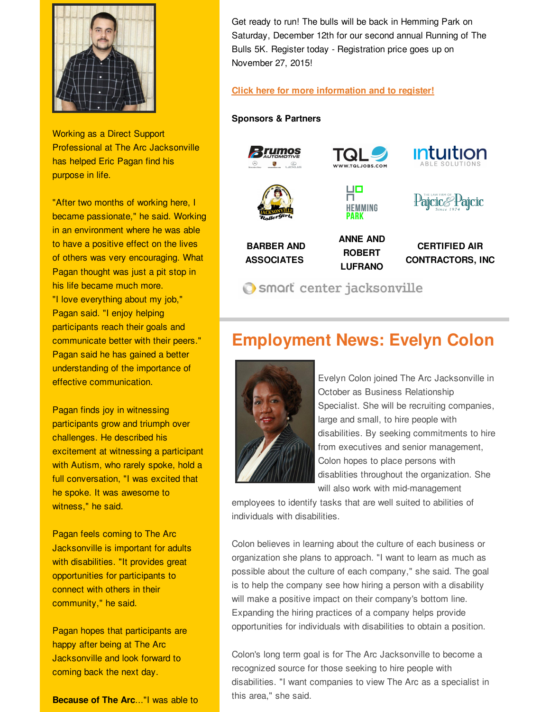

Working as a Direct Support Professional at The Arc Jacksonville has helped Eric Pagan find his purpose in life.

"After two months of working here, I became passionate," he said. Working in an environment where he was able to have a positive effect on the lives of others was very encouraging. What Pagan thought was just a pit stop in his life became much more. "I love everything about my job," Pagan said. "I enjoy helping participants reach their goals and communicate better with their peers." Pagan said he has gained a better understanding of the importance of effective communication.

Pagan finds joy in witnessing participants grow and triumph over challenges. He described his excitement at witnessing a participant with Autism, who rarely spoke, hold a full conversation, "I was excited that he spoke. It was awesome to witness," he said.

Pagan feels coming to The Arc Jacksonville is important for adults with disabilities. "It provides great opportunities for participants to connect with others in their community," he said.

Pagan hopes that participants are happy after being at The Arc Jacksonville and look forward to coming back the next day.

**Because of The Arc**..."I was able to

Get ready to run! The bulls will be back in Hemming Park on Saturday, December 12th for our second annual Running of The Bulls 5K. Register today - Registration price goes up on November 27, 2015!

#### **Click here for more [information](http://r20.rs6.net/tn.jsp?f=001y1ltD-1ldJDzDiVwNHG-Es5HooYJqU2RTJRjSvwn_LiyjeQXwVNZuPnBpquY0IUkqe4TZGbc09muNTfT-feANhX6r7nggvUSzn50hBgNKBHh_Irlpwcv0d43y6-GG7c8lwMG1UIfcQuS2AAccDT3qoUYMgAi-_5R3AbOEoKeR12uE788n-MVaMry_mMZrFa9OJLryZYUK0G1e3ffqu1N9ua9vdUakwlFGU-GsNYyk9zsSOlnSiNXNI6jXt3SqgFr6IWfHyzsgm_KkZ0nfV9_XulbVDHdLfCECJeZolvIAE-BZwB3e1h6T1KvXOjL769Dc3aBl99-jTlUjvu0Sqm-WA==&c=&ch=) and to register!**

#### **Sponsors & Partners**



## **Employment News: Evelyn Colon**



Evelyn Colon joined The Arc Jacksonville in October as Business Relationship Specialist. She will be recruiting companies, large and small, to hire people with disabilities. By seeking commitments to hire from executives and senior management, Colon hopes to place persons with disablities throughout the organization. She will also work with mid-management

employees to identify tasks that are well suited to abilities of individuals with disabilities.

Colon believes in learning about the culture of each business or organization she plans to approach. "I want to learn as much as possible about the culture of each company," she said. The goal is to help the company see how hiring a person with a disability will make a positive impact on their company's bottom line. Expanding the hiring practices of a company helps provide opportunities for individuals with disabilities to obtain a position.

Colon's long term goal is for The Arc Jacksonville to become a recognized source for those seeking to hire people with disabilities. "I want companies to view The Arc as a specialist in this area," she said.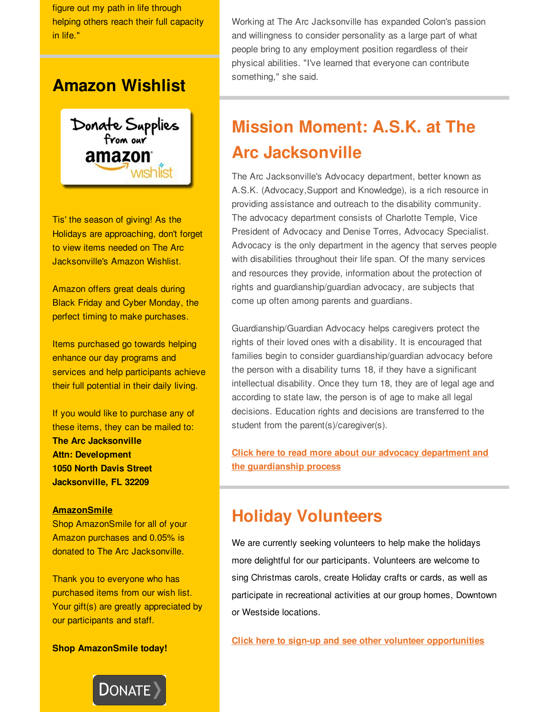figure out my path in life through helping others reach their full capacity in life."

## **Amazon Wishlist**



Tis' the season of giving! As the Holidays are approaching, don't forget to view items needed on The Arc Jacksonville's Amazon Wishlist.

Amazon offers great deals during Black Friday and Cyber Monday, the perfect timing to make purchases.

Items purchased go towards helping enhance our day programs and services and help participants achieve their full potential in their daily living.

If you would like to purchase any of these items, they can be mailed to: **The Arc Jacksonville Attn: Development 1050 North Davis Street Jacksonville, FL 32209**

#### **[AmazonSmile](http://r20.rs6.net/tn.jsp?f=001y1ltD-1ldJDzDiVwNHG-Es5HooYJqU2RTJRjSvwn_LiyjeQXwVNZuPXtJySvREJkavB_6EI_jQ-HMLZPnJMproKmSeMaL-TFjtfQLXelAHHKvA9TqZFIYbhl8pEzUkfFwxMtLpEI70f9ALkFVHmDYVwgIyhbJCZD2E7Eh4GSKlEiL849kaeRjcxuR5imJ-vvH9-1bU4aQkQ8aUOFAYNqsb4MCqbb4nLla9sv34pB_egxQw0KiW8tosaTG6_F3huszV_aUA5ftvTXqgtQAzpDWEnBGz6AszzndblryJspNIjxUIk__lmutZH1XsJdnzcUzRRU9mg5GlHXVSNObhY5NqOZvp2zhGUGW4eFjMkOtT_8IrX3IDv4Xfnp2qvJjwMHoa3Ls2MJ78gsWVsXZoFKrA==&c=&ch=)**

Shop AmazonSmile for all of your Amazon purchases and 0.05% is donated to The Arc Jacksonville.

Thank you to everyone who has purchased items from our wish list. Your gift(s) are greatly appreciated by our participants and staff.

**Shop AmazonSmile today!**



Working at The Arc Jacksonville has expanded Colon's passion and willingness to consider personality as a large part of what people bring to any employment position regardless of their physical abilities. "I've learned that everyone can contribute something," she said.

# **Mission Moment: A.S.K. at The Arc Jacksonville**

The Arc Jacksonville's Advocacy department, better known as A.S.K. (Advocacy,Support and Knowledge), is a rich resource in providing assistance and outreach to the disability community. The advocacy department consists of Charlotte Temple, Vice President of Advocacy and Denise Torres, Advocacy Specialist. Advocacy is the only department in the agency that serves people with disabilities throughout their life span. Of the many services and resources they provide, information about the protection of rights and guardianship/guardian advocacy, are subjects that come up often among parents and guardians.

Guardianship/Guardian Advocacy helps caregivers protect the rights of their loved ones with a disability. It is encouraged that families begin to consider guardianship/guardian advocacy before the person with a disability turns 18, if they have a significant intellectual disability. Once they turn 18, they are of legal age and according to state law, the person is of age to make all legal decisions. Education rights and decisions are transferred to the student from the parent(s)/caregiver(s).

**Click here to read more about our advocacy department and the [guardianship](http://r20.rs6.net/tn.jsp?f=001y1ltD-1ldJDzDiVwNHG-Es5HooYJqU2RTJRjSvwn_LiyjeQXwVNZuFeCheMsG56tFJg1FdjHWDfDR_LJUtoyFE5TCvNerSpf5NEWW8aQYnLiiWhyZVkpuTqq9iKtl6UkhFeeAjv60_z8AhxrZSq9iuxeeE_aTZ8OPwWqMScRUxIj6tdbHAeeZs_KIkikXxyIcTn4AenYX7syab1uRCkU4PyQXxgQidhWNcPGyxCP7qcVZeYhRJ2tWWlt2oUK-j5b5tzmUBfj4iZCo7t2Gs0VX9lNTsZWVd3ne8yptPql90x18CiKBk-RdKutSyTw41Y6y3msqOr8lAO71VE4uDV4XeqVafMozpJLaF5Gcfmi4JYTX02IbeG6QLRxIFvs6fuWbeUjMN686QRacnzAg_Mr4L9b6OjLvT-I&c=&ch=) process**

## **Holiday Volunteers**

We are currently seeking volunteers to help make the holidays more delightful for our participants. Volunteers are welcome to sing Christmas carols, create Holiday crafts or cards, as well as participate in recreational activities at our group homes, Downtown or Westside locations.

**Click here to sign-up and see other volunteer [opportunities](http://r20.rs6.net/tn.jsp?f=001y1ltD-1ldJDzDiVwNHG-Es5HooYJqU2RTJRjSvwn_LiyjeQXwVNZuFqoCQZK5Ewo_BfdSwYOyFHQZqUuzr8F7IEQaDaDrFlVaW6JPBENlsBTTNzDf-DEUO2c26yVWAl1CZ9LxNVsavZWunSpFDEBtrgTBgTNVNsJnBdj4Fm9Ui9Z1NZ5WCLSrew8ElcT-h1eERv6fOCfN5keyy24ky9zQF2P2l6LO028jp-x86nD8N4gdRE3FtcXzVRJxAIsxq1dAHBkRy8zerbmNByGOM1bq_nEDaPCAAZV-KQd-oQoYqITcsCgCnXK6iymw-3UG0oX9BVgsCEG4QDI5S2HoJB_r3fI44GnWMu2&c=&ch=)**